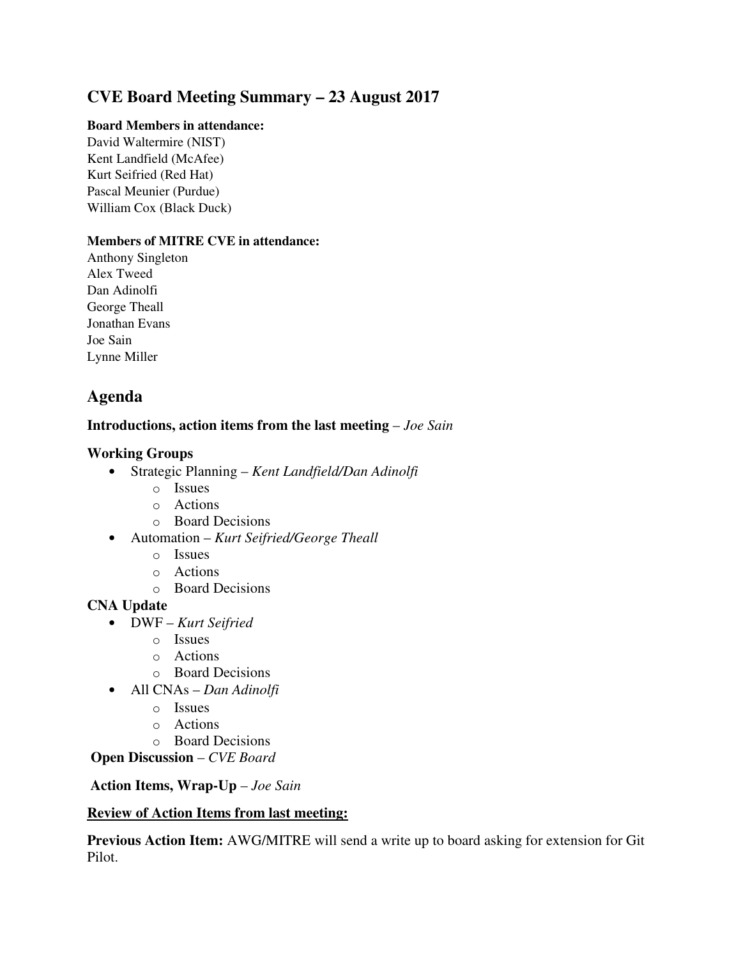# **CVE Board Meeting Summary – 23 August 2017**

#### **Board Members in attendance:**

David Waltermire (NIST) Kent Landfield (McAfee) Kurt Seifried (Red Hat) Pascal Meunier (Purdue) William Cox (Black Duck)

#### **Members of MITRE CVE in attendance:**

Anthony Singleton Alex Tweed Dan Adinolfi George Theall Jonathan Evans Joe Sain Lynne Miller

## **Agenda**

## **Introductions, action items from the last meeting** – *Joe Sain*

## **Working Groups**

- Strategic Planning *Kent Landfield/Dan Adinolfi*
	- o Issues
	- o Actions
	- o Board Decisions
- Automation *Kurt Seifried/George Theall*
	- o Issues
	- o Actions
	- o Board Decisions

#### **CNA Update**

- DWF *Kurt Seifried*
	- o Issues
	- o Actions
	- o Board Decisions
- All CNAs *Dan Adinolfi*
	- o Issues
	- o Actions
	- o Board Decisions

#### **Open Discussion** – *CVE Board*

## **Action Items, Wrap-Up** – *Joe Sain*

#### **Review of Action Items from last meeting:**

**Previous Action Item:** AWG/MITRE will send a write up to board asking for extension for Git Pilot.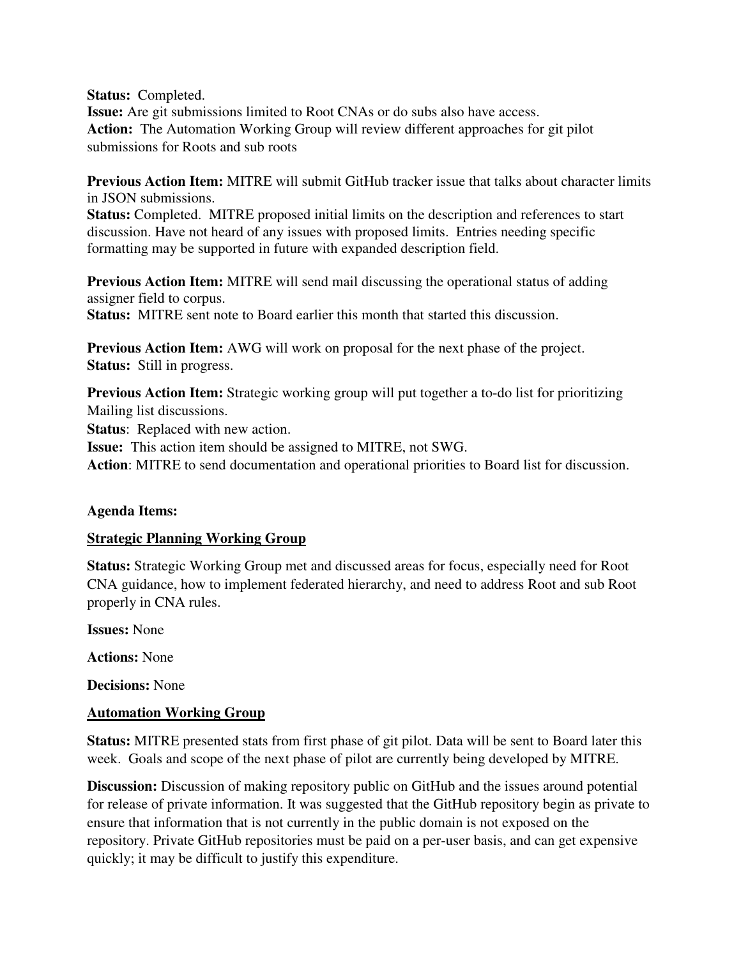**Status:** Completed.

**Issue:** Are git submissions limited to Root CNAs or do subs also have access. **Action:** The Automation Working Group will review different approaches for git pilot submissions for Roots and sub roots

**Previous Action Item:** MITRE will submit GitHub tracker issue that talks about character limits in JSON submissions.

**Status:** Completed. MITRE proposed initial limits on the description and references to start discussion. Have not heard of any issues with proposed limits. Entries needing specific formatting may be supported in future with expanded description field.

**Previous Action Item:** MITRE will send mail discussing the operational status of adding assigner field to corpus. **Status:** MITRE sent note to Board earlier this month that started this discussion.

**Previous Action Item:** AWG will work on proposal for the next phase of the project. **Status:** Still in progress.

**Previous Action Item:** Strategic working group will put together a to-do list for prioritizing Mailing list discussions.

**Status**: Replaced with new action.

**Issue:** This action item should be assigned to MITRE, not SWG.

**Action**: MITRE to send documentation and operational priorities to Board list for discussion.

#### **Agenda Items:**

#### **Strategic Planning Working Group**

**Status:** Strategic Working Group met and discussed areas for focus, especially need for Root CNA guidance, how to implement federated hierarchy, and need to address Root and sub Root properly in CNA rules.

**Issues:** None

**Actions:** None

**Decisions:** None

## **Automation Working Group**

**Status:** MITRE presented stats from first phase of git pilot. Data will be sent to Board later this week. Goals and scope of the next phase of pilot are currently being developed by MITRE.

**Discussion:** Discussion of making repository public on GitHub and the issues around potential for release of private information. It was suggested that the GitHub repository begin as private to ensure that information that is not currently in the public domain is not exposed on the repository. Private GitHub repositories must be paid on a per-user basis, and can get expensive quickly; it may be difficult to justify this expenditure.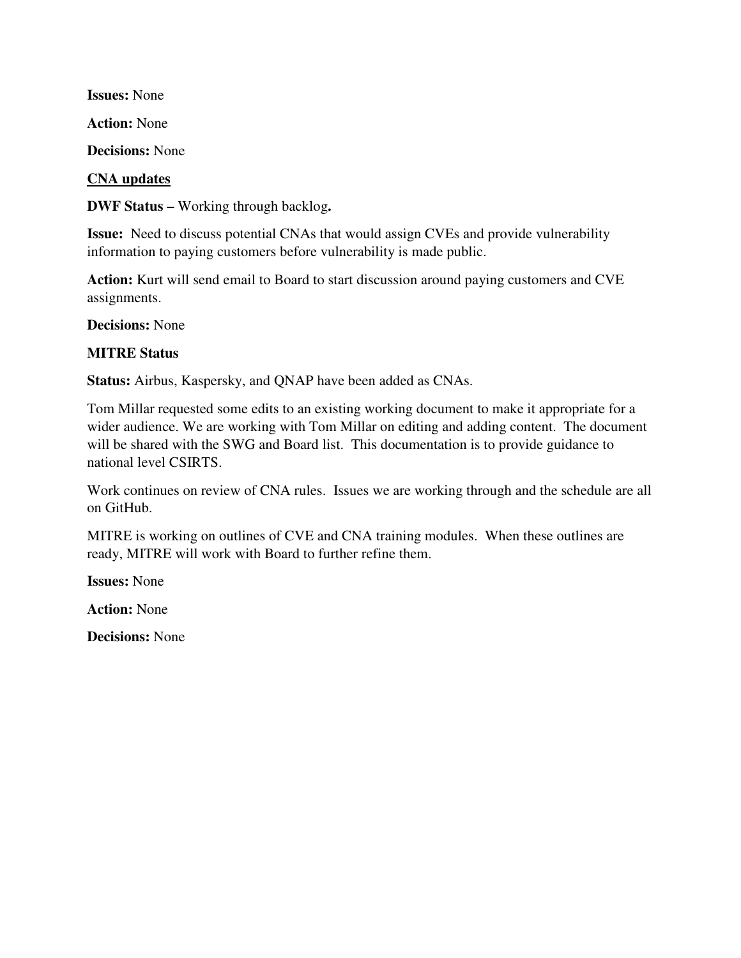**Issues:** None

**Action:** None

**Decisions:** None

#### **CNA updates**

**DWF Status –** Working through backlog**.** 

**Issue:** Need to discuss potential CNAs that would assign CVEs and provide vulnerability information to paying customers before vulnerability is made public.

**Action:** Kurt will send email to Board to start discussion around paying customers and CVE assignments.

**Decisions:** None

#### **MITRE Status**

**Status:** Airbus, Kaspersky, and QNAP have been added as CNAs.

Tom Millar requested some edits to an existing working document to make it appropriate for a wider audience. We are working with Tom Millar on editing and adding content. The document will be shared with the SWG and Board list. This documentation is to provide guidance to national level CSIRTS.

Work continues on review of CNA rules. Issues we are working through and the schedule are all on GitHub.

MITRE is working on outlines of CVE and CNA training modules. When these outlines are ready, MITRE will work with Board to further refine them.

**Issues:** None

**Action:** None

**Decisions:** None